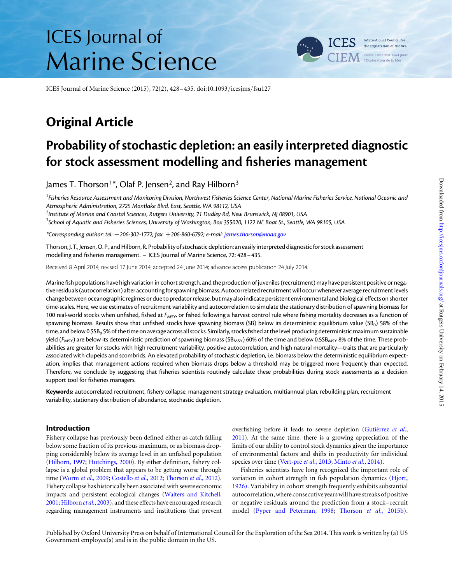# ICES Journal of Marine Science

ICES Journal of Marine Science (2015), 72(2), 428–435. doi:10.1093/icesjms/fsu127

# Original Article

# Probability of stochastic depletion: an easily interpreted diagnostic for stock assessment modelling and fisheries management

James T. Thorson<sup>1\*</sup>, Olaf P. Jensen<sup>2</sup>, and Ray Hilborn<sup>3</sup>

 $^{\rm l}$ Fisheries Resource Assessment and Monitoring Division, Northwest Fisheries Science Center, National Marine Fisheries Service, National Oceanic and Atmospheric Administration, 2725 Montlake Blvd. East, Seattle, WA 98112, USA

 $^2$ Institute of Marine and Coastal Sciences, Rutgers University, 71 Dudley Rd, New Brunswick, NJ 08901, USA

<sup>3</sup>School of Aquatic and Fisheries Sciences, University of Washington, Box 355020, 1122 NE Boat St., Seattle, WA 98105, USA

\*Corresponding author: tel: +206-302-1772; fax: +206-860-6792; e-mail: [james.thorson@noaa.gov](mailto:james.thorson@noaa.gov)

Thorson, J. T., Jensen, O. P., and Hilborn, R. Probability of stochastic depletion: an easily interpreted diagnostic for stock assessment modelling and fisheries management. – ICES Journal of Marine Science, 72: 428–435.

Received 8 April 2014; revised 17 June 2014; accepted 24 June 2014; advance access publication 24 July 2014.

Marine fish populations have high variation in cohort strength, and the production of juveniles (recruitment) may have persistent positive or negative residuals (autocorrelation) after accounting for spawning biomass. Autocorrelated recruitment will occur whenever average recruitment levels change between oceanographic regimes or due to predator release, but may also indicate persistent environmental and biological effects on shorter time-scales. Here, we use estimates of recruitment variability and autocorrelation to simulate the stationary distribution of spawning biomass for 100 real-world stocks when unfished, fished at  $F_{MSY}$  or fished following a harvest control rule where fishing mortality decreases as a function of spawning biomass. Results show that unfished stocks have spawning biomass (SB) below its deterministic equilibrium value (SB<sub>0</sub>) 58% of the time, and below 0.5SB<sub>0</sub> 5% of the time on average across all stocks. Similarly, stocks fished at the level producing deterministic maximum sustainable yield ( $F_{MSY}$ ) are below its deterministic prediction of spawning biomass (SB<sub>MSY</sub>) 60% of the time and below 0.5SB<sub>MSY</sub> 8% of the time. These probabilities are greater for stocks with high recruitment variability, positive autocorrelation, and high natural mortality—traits that are particularly associated with clupeids and scombrids. An elevated probability of stochastic depletion, i.e. biomass below the deterministic equilibrium expectation, implies that management actions required when biomass drops below a threshold may be triggered more frequently than expected. Therefore, we conclude by suggesting that fisheries scientists routinely calculate these probabilities during stock assessments as a decision support tool for fisheries managers.

Keywords: autocorrelated recruitment, fishery collapse, management strategy evaluation, multiannual plan, rebuilding plan, recruitment variability, stationary distribution of abundance, stochastic depletion.

# Introduction

Fishery collapse has previously been defined either as catch falling below some fraction of its previous maximum, or as biomass dropping considerably below its average level in an unfished population ([Hilborn, 1997;](#page-6-0) [Hutchings, 2000\)](#page-6-0). By either definition, fishery collapse is a global problem that appears to be getting worse through time [\(Worm](#page-7-0) et al., 2009; [Costello](#page-6-0) et al., 2012; [Thorson](#page-6-0) et al., 2012). Fishery collapse has historically been associated with severe economic impacts and persistent ecological changes [\(Walters and Kitchell,](#page-6-0) [2001](#page-6-0); [Hilborn](#page-6-0) et al., 2003), and these effects have encouraged research regarding management instruments and institutions that prevent overfishing before it leads to severe depletion (Gutiérrez et al., [2011\)](#page-6-0). At the same time, there is a growing appreciation of the limits of our ability to control stock dynamics given the importance of environmental factors and shifts in productivity for individual species over time ([Vert-pre](#page-6-0) et al., 2013; Minto et al[., 2014](#page-6-0)).

Fisheries scientists have long recognized the important role of variation in cohort strength in fish population dynamics ([Hjort,](#page-6-0) [1926\)](#page-6-0). Variability in cohort strength frequently exhibits substantial autocorrelation,where consecutive years will have streaks of positive or negative residuals around the prediction from a stock– recruit model ([Pyper and Peterman, 1998](#page-6-0); Thorson et al[., 2015b](#page-6-0)).

Published by Oxford University Press on behalf of International Council for the Exploration of the Sea 2014. This work is written by (a) US Government employee(s) and is in the public domain in the US.

International Council for the Exploration of the Sea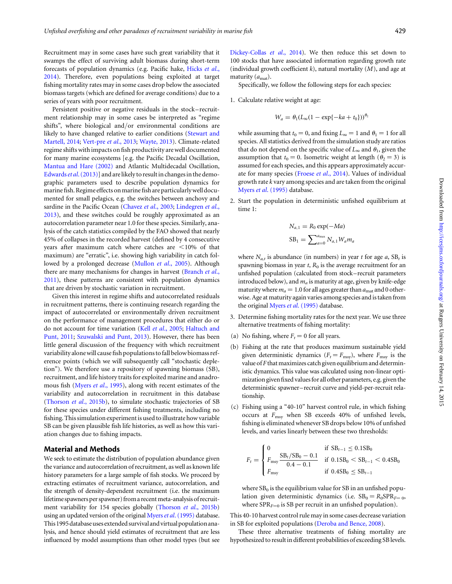Recruitment may in some cases have such great variability that it swamps the effect of surviving adult biomass during short-term forecasts of population dynamics (e.g. Pacific hake, [Hicks](#page-6-0) et al., [2014\)](#page-6-0). Therefore, even populations being exploited at target fishing mortality rates may in some cases drop below the associated biomass targets (which are defined for average conditions) due to a series of years with poor recruitment.

Persistent positive or negative residuals in the stock – recruitment relationship may in some cases be interpreted as "regime shifts", where biological and/or environmental conditions are likely to have changed relative to earlier conditions [\(Stewart and](#page-6-0) [Martell, 2014;](#page-6-0) [Vert-pre](#page-6-0) et al., 2013; [Wayte, 2013\)](#page-7-0). Climate-related regime shifts with impacts on fish productivity are well documented for many marine ecosystems [e.g. the Pacific Decadal Oscillation, [Mantua and Hare \(2002\)](#page-6-0) and Atlantic Multidecadal Oscillation, [Edwards](#page-6-0) *et al.* (2013)] and are likely to result in changes in the demographic parameters used to describe population dynamics for marine fish. Regime effects on marine fish are particularly well documented for small pelagics, e.g. the switches between anchovy and sardine in the Pacific Ocean ([Chavez](#page-6-0) et al., 2003; [Lindegren](#page-6-0) et al., [2013\)](#page-6-0), and these switches could be roughly approximated as an autocorrelation parameter near 1.0 for these species. Similarly, analysis of the catch statistics compiled by the FAO showed that nearly 45% of collapses in the recorded harvest (defined by 4 consecutive years after maximum catch where catches are  $\leq 10\%$  of that maximum) are "erratic", i.e. showing high variability in catch fol-lowed by a prolonged decrease [\(Mullon](#page-6-0) et al., 2005). Although there are many mechanisms for changes in harvest ([Branch](#page-5-0) et al., [2011\)](#page-5-0), these patterns are consistent with population dynamics that are driven by stochastic variation in recruitment.

Given this interest in regime shifts and autocorrelated residuals in recruitment patterns, there is continuing research regarding the impact of autocorrelated or environmentally driven recruitment on the performance of management procedures that either do or do not account for time variation (Kell et al[., 2005;](#page-6-0) [Haltuch and](#page-6-0) [Punt, 2011](#page-6-0); [Szuwalski and Punt, 2013\)](#page-6-0). However, there has been little general discussion of the frequency with which recruitment variability alonewill cause fish populations tofall below biomass reference points (which we will subsequently call "stochastic depletion"). We therefore use a repository of spawning biomass (SB), recruitment, and life history traits for exploited marine and anadromous fish (Myers et al[., 1995\)](#page-6-0), along with recent estimates of the variability and autocorrelation in recruitment in this database ([Thorson](#page-6-0) et al., 2015b), to simulate stochastic trajectories of SB for these species under different fishing treatments, including no fishing. This simulation experiment is used to illustrate how variable SB can be given plausible fish life histories, as well as how this variation changes due to fishing impacts.

## Material and Methods

We seek to estimate the distribution of population abundance given the variance and autocorrelation of recruitment, as well as known life history parameters for a large sample of fish stocks. We proceed by extracting estimates of recruitment variance, autocorrelation, and the strength of density-dependent recruitment (i.e. the maximum lifetime spawners per spawner) from a recent meta-analysis of recruit-ment variability for 154 species globally [\(Thorson](#page-6-0) et al., 2015b) using an updated version of the original Myers et al[. \(1995\)](#page-6-0) database. This 1995 database uses extended survival and virtual population analysis, and hence should yield estimates of recruitment that are less influenced by model assumptions than other model types (but see [Dickey-Collas](#page-6-0) et al., 2014). We then reduce this set down to 100 stocks that have associated information regarding growth rate (individual growth coefficient  $k$ ), natural mortality  $(M)$ , and age at maturity  $(a<sub>mat</sub>)$ .

Specifically, we follow the following steps for each species:

1. Calculate relative weight at age:

$$
W_a = \theta_1 (L_\infty (1 - \exp\{-ka + t_0\}))^{\theta_2}
$$

while assuming that  $t_0 = 0$ , and fixing  $L_{\infty} = 1$  and  $\theta_1 = 1$  for all species. All statistics derived from the simulation study are ratios that do not depend on the specific value of  $L_{\infty}$  and  $\theta_1$ , given the assumption that  $t_0 = 0$ . Isometric weight at length  $(\theta_2 = 3)$  is assumed for each species, and this appears approximately accurate for many species (Froese et al[., 2014\)](#page-6-0). Values of individual growth rate k vary among species and are taken from the original Myers et al[. \(1995\)](#page-6-0) database.

2. Start the population in deterministic unfished equilibrium at time 1:

$$
N_{a,1} = R_0 \exp(-Ma)
$$
  

$$
SB_1 = \sum_{a=0}^{a_{\text{max}}} N_{a,1} W_a m_a
$$

where  $N_{a,t}$  is abundance (in numbers) in year t for age a, SB<sub>t</sub> is spawning biomass in year  $t$ ,  $R_0$  is the average recruitment for an unfished population (calculated from stock– recruit parameters introduced below), and  $m_a$  is maturity at age, given by knife-edge maturity where  $m_a = 1.0$  for all ages greater than  $a_{\text{mat}}$  and 0 otherwise. Age at maturity again varies among species and is taken from the original Myers et al[. \(1995\)](#page-6-0) database.

- 3. Determine fishing mortality rates for the next year. We use three alternative treatments of fishing mortality:
- (a) No fishing, where  $F_t = 0$  for all years.
- (b) Fishing at the rate that produces maximum sustainable yield given deterministic dynamics ( $F_t = F_{\text{msy}}$ ), where  $F_{\text{msy}}$  is the value of  $F$  that maximizes catch given equilibrium and deterministic dynamics. This value was calculated using non-linear optimization given fixed valuesfor all other parameters, e.g. given the deterministic spawner– recruit curve and yield-per-recruit relationship.
- (c) Fishing using a "40-10" harvest control rule, in which fishing occurs at  $F_{\text{msy}}$  when SB exceeds 40% of unfished levels, fishing is eliminated whenever SB drops below 10% of unfished levels, and varies linearly between these two thresholds:

$$
F_{t} = \begin{cases} 0 & \text{if } \text{SB}_{t-1} \leq 0.1\text{SB}_{0} \\ F_{\text{msy}} \frac{\text{SB}_{t}/\text{SB}_{0} - 0.1}{0.4 - 0.1} & \text{if } 0.1\text{SB}_{0} < \text{SB}_{t-1} < 0.4\text{SB}_{0} \\ F_{\text{msy}} & \text{if } 0.4\text{SB}_{0} \leq \text{SB}_{t-1} \end{cases}
$$

where  $SB<sub>0</sub>$  is the equilibrium value for SB in an unfished population given deterministic dynamics (i.e.  $SB_0 = R_0SPR_{F=0}$ , where  $SPR_{F=0}$  is SB per recruit in an unfished population).

This 40-10 harvest control rule may in some cases decrease variation in SB for exploited populations [\(Deroba and Bence, 2008\)](#page-6-0).

These three alternative treatments of fishing mortality are hypothesized to result in different probabilities of exceeding SB levels.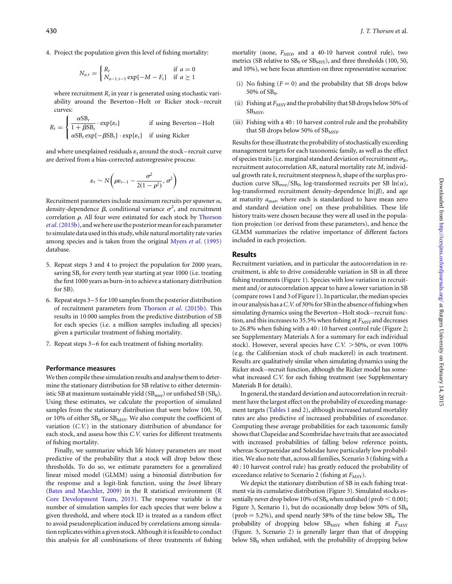4. Project the population given this level of fishing mortality:

$$
N_{a,t} = \begin{cases} R_t & \text{if } a = 0\\ N_{a-1,t-1} \exp\{-M - F_t\} & \text{if } a \ge 1 \end{cases}
$$

where recruitment  $R_t$  in year t is generated using stochastic variability around the Beverton–Holt or Ricker stock – recruit curves:

$$
R_t = \begin{cases} \frac{\alpha SB_t}{1 + \beta SB_t} \cdot \exp\{\varepsilon_t\} & \text{if using Beverton-Holt} \\ \alpha SB_t \exp\{-\beta SB_t\} \cdot \exp\{\varepsilon_t\} & \text{if using Ricker} \end{cases}
$$

and where unexplained residuals  $\varepsilon_t$  around the stock-recruit curve are derived from a bias-corrected autoregressive process:

$$
\varepsilon_t \sim N\bigg(\rho \varepsilon_{t-1} - \frac{\sigma^2}{2(1-\rho^2)}, \sigma^2\bigg)
$$

Recruitment parameters include maximum recruits per spawner  $\alpha$ , density-dependence  $\beta$ , conditional variance  $\sigma^2$ , and recruitment correlation  $\rho$ . All four were estimated for each stock by [Thorson](#page-6-0) et al[. \(2015b\)](#page-6-0), and we here use the posterior mean for each parameter to simulate data used in this study, while natural mortality rate varies among species and is taken from the original Myers et al[. \(1995\)](#page-6-0) database.

- 5. Repeat steps 3 and 4 to project the population for 2000 years, saving  $SB_t$  for every tenth year starting at year 1000 (i.e. treating the first 1000 years as burn-in to achieve a stationary distribution for SB).
- 6. Repeat steps 3 –5 for 100 samples from the posterior distribution of recruitment parameters from Thorson et al[. \(2015b\)](#page-6-0). This results in 10 000 samples from the predictive distribution of SB for each species (i.e. a million samples including all species) given a particular treatment of fishing mortality.
- 7. Repeat steps 3–6 for each treatment of fishing mortality.

#### Performance measures

We then compile these simulation results and analyse them to determine the stationary distribution for SB relative to either deterministic SB at maximum sustainable yield  $(SB_{msy})$  or unfished SB  $(SB_0)$ . Using these estimates, we calculate the proportion of simulated samples from the stationary distribution that were below 100, 50, or 10% of either  $SB_0$  or  $SB_{MSY}$ . We also compute the coefficient of variation (C.V.) in the stationary distribution of abundance for each stock, and assess how this C.V. varies for different treatments of fishing mortality.

Finally, we summarize which life history parameters are most predictive of the probability that a stock will drop below these thresholds. To do so, we estimate parameters for a generalized linear mixed model (GLMM) using a binomial distribution for the response and a logit-link function, using the lme4 library ([Bates and Maechler, 2009\)](#page-5-0) in the R statistical environment ([R](#page-6-0) [Core Development Team, 2013\)](#page-6-0). The response variable is the number of simulation samples for each species that were below a given threshold, and where stock ID is treated as a random effect to avoid pseudoreplication induced by correlations among simulation replicates within a given stock. Although it is feasible to conduct this analysis for all combinations of three treatments of fishing mortality (none,  $F_{\text{MSY}}$ , and a 40-10 harvest control rule), two metrics (SB relative to  $SB_0$  or  $SB_{MSY}$ ), and three thresholds (100, 50, and 10%), we here focus attention on three representative scenarios:

- (i) No fishing  $(F = 0)$  and the probability that SB drops below 50% of  $SB<sub>0</sub>$ .
- (ii) Fishing at  $F_{\text{MSY}}$  and the probability that SB drops below 50% of SB<sub>MSY</sub>.
- (iii) Fishing with a 40 : 10 harvest control rule and the probability that SB drops below 50% of  $SB<sub>MSY</sub>$ .

Results for these illustrate the probability of stochastically exceeding management targets for each taxonomic family, as well as the effect of species traits [i.e. marginal standard deviation of recruitment  $\sigma_{\rm R}$ , recruitment autocorrelation AR, natural mortality rate M, individual growth rate  $k$ , recruitment steepness  $h$ , shape of the surplus production curve  $SB_{\text{msy}}/SB_0$ , log-transformed recruits per SB  $ln(\alpha)$ , log-transformed recruitment density-dependence  $ln(\beta)$ , and age at maturity  $a_{\text{mat}}$ , where each is standardized to have mean zero and standard deviation one] on these probabilities. These life history traits were chosen because they were all used in the population projection (or derived from these parameters), and hence the GLMM summarizes the relative importance of different factors included in each projection.

## Results

Recruitment variation, and in particular the autocorrelation in recruitment, is able to drive considerable variation in SB in all three fishing treatments (Figure [1\)](#page-3-0). Species with low variation in recruitment and/or autocorrelation appear to have a lower variation in SB (compare rows 1 and 3 of Figure [1](#page-3-0)). In particular, the median species in our analysis has a C.V. of 30% for SB in the absence of fishing when simulating dynamics using the Beverton –Holt stock – recruit function, and this increases to 35.5% when fishing at  $F_{\text{MSY}}$  and decreases to 26.8% when fishing with a 40 : 10 harvest control rule (Figure [2;](#page-4-0) see [Supplementary Materials A](http://icesjms.oxfordjournals.org/lookup/suppl/doi:10.1093/icesjms/fsu127/-/DC1) for a summary for each individual stock). However, several species have  $C.V. >50\%$ , or even 100% (e.g. the Californian stock of chub mackerel) in each treatment. Results are qualitatively similar when simulating dynamics using the Ricker stock–recruit function, although the Ricker model has somewhat increased C.V. for each fishing treatment (see [Supplementary](http://icesjms.oxfordjournals.org/lookup/suppl/doi:10.1093/icesjms/fsu127/-/DC1) [Materials B](http://icesjms.oxfordjournals.org/lookup/suppl/doi:10.1093/icesjms/fsu127/-/DC1) for details).

In general, the standard deviation and autocorrelation in recruitment have the largest effect on the probability of exceeding manage-ment targets [\(Tables 1](#page-4-0) and [2\)](#page-5-0), although increased natural mortality rates are also predictive of increased probabilities of exceedance. Computing these average probabilities for each taxonomic family shows that Clupeidae and Scombridae have traits that are associated with increased probabilities of falling below reference points, whereas Scorpaenidae and Soleidae have particularly low probabilities. We also note that, across all families, Scenario 3 (fishing with a 40 : 10 harvest control rule) has greatly reduced the probability of exceedance relative to Scenario 2 (fishing at  $F_{\text{MSY}}$ ).

We depict the stationary distribution of SB in each fishing treatment via its cumulative distribution (Figure [3](#page-5-0)). Simulated stocks essentially never drop below 10% of  $SB_0$  when unfished (prob  $< 0.001$ ; Figure [3](#page-5-0), Scenario 1), but do occasionally drop below 50% of  $SB_0$ (prob  $= 5.2\%$ ), and spend nearly 58% of the time below  $SB_0$ . The probability of dropping below  $SB_{MSY}$  when fishing at  $F_{MSY}$ (Figure. [3,](#page-5-0) Scenario 2) is generally larger than that of dropping below  $SB<sub>0</sub>$  when unfished, with the probability of dropping below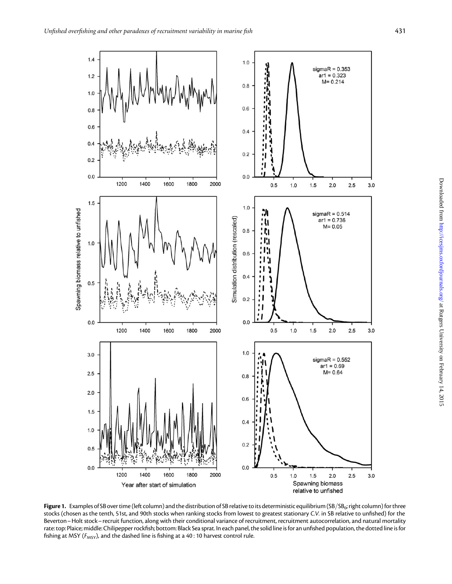<span id="page-3-0"></span>

Figure 1. Examples of SB over time (left column) and the distribution of SB relative to its deterministic equilibrium (SB/SB<sub>0</sub>; right column) for three stocks (chosen as the tenth, 51st, and 90th stocks when ranking stocks from lowest to greatest stationary C.V. in SB relative to unfished) for the Beverton–Holt stock– recruit function, along with their conditional variance of recruitment, recruitment autocorrelation, and natural mortality rate: top: Plaice; middle: Chilipepper rockfish; bottom: Black Sea sprat. In each panel, the solid line is for an unfished population, the dotted line is for fishing at MSY ( $F_{MSY}$ ), and the dashed line is fishing at a 40 : 10 harvest control rule.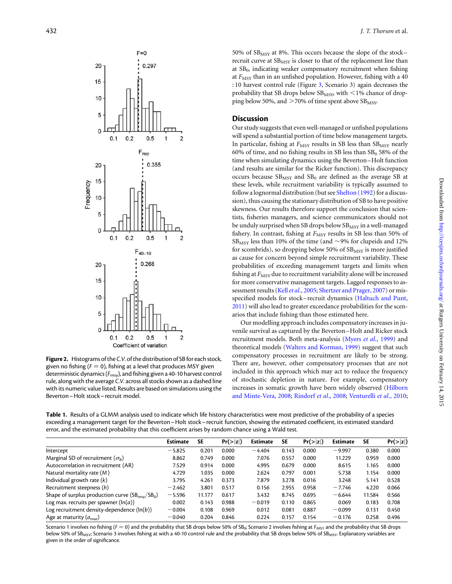<span id="page-4-0"></span>

Figure 2. Histograms of the C.V. of the distribution of SB for each stock, given no fishing ( $F = 0$ ), fishing at a level that produces MSY given deterministic dynamics ( $F_{\text{msg}}$ ), and fishing given a 40-10 harvest control rule, along with the average C.V. across all stocks shown as a dashed line with its numeric value listed. Results are based on simulations using the Beverton–Holt stock– recruit model.

50% of  $SB<sub>MSY</sub>$  at 8%. This occurs because the slope of the stock– recruit curve at  $SB<sub>MSY</sub>$  is closer to that of the replacement line than at  $SB<sub>0</sub>$ , indicating weaker compensatory recruitment when fishing at  $F_{\text{MSY}}$  than in an unfished population. However, fishing with a 40 : 10 harvest control rule (Figure [3,](#page-5-0) Scenario 3) again decreases the probability that SB drops below  $SB<sub>MSY</sub>$ , with  $\leq$  1% chance of dropping below 50%, and  $>70\%$  of time spent above SB<sub>MSY</sub>.

# **Discussion**

Our study suggests that even well-managed or unfished populations will spend a substantial portion of time below management targets. In particular, fishing at  $F_{\text{MSY}}$  results in SB less than  $SB_{\text{MSY}}$  nearly 60% of time, and no fishing results in SB less than  $SB_0$  58% of the time when simulating dynamics using the Beverton –Holt function (and results are similar for the Ricker function). This discrepancy occurs because  $SB_{MSY}$  and  $SB_0$  are defined as the average SB at these levels, while recruitment variability is typically assumed to follow a lognormal distribution (but see [Shelton \(1992](#page-6-0)) for a discussion), thus causing the stationary distribution of SB to have positive skewness. Our results therefore support the conclusion that scientists, fisheries managers, and science communicators should not be unduly surprised when SB drops below  $SB_{MSY}$  in a well-managed fishery. In contrast, fishing at  $F_{\text{MSY}}$  results in SB less than 50% of  $SB_{MSY}$  less than 10% of the time (and  $\sim$ 9% for clupeids and 12% for scombrids), so dropping below 50% of  $SB_{MSY}$  is more justified as cause for concern beyond simple recruitment variability. These probabilities of exceeding management targets and limits when fishing at  $F_{\text{MSY}}$  due to recruitment variability alone will be increased for more conservative management targets. Lagged responses to as-sessment results (Kell et al[., 2005;](#page-6-0) [Shertzer and Prager, 2007](#page-6-0)) or misspecified models for stock– recruit dynamics [\(Haltuch and Punt,](#page-6-0) [2011\)](#page-6-0) will also lead to greater exceedance probabilities for the scenarios that include fishing than those estimated here.

Our modelling approach includes compensatory increases in juvenile survival as captured by the Beverton –Holt and Ricker stock recruitment models. Both meta-analysis (Myers et al[., 1999\)](#page-6-0) and theoretical models [\(Walters and Korman, 1999](#page-7-0)) suggest that such compensatory processes in recruitment are likely to be strong. There are, however, other compensatory processes that are not included in this approach which may act to reduce the frequency of stochastic depletion in nature. For example, compensatory increases in somatic growth have been widely observed ([Hilborn](#page-6-0) [and Minte-Vera, 2008](#page-6-0); [Rindorf](#page-6-0) et al., 2008; [Venturelli](#page-6-0) et al., 2010;

Table 1. Results of a GLMM analysis used to indicate which life history characteristics were most predictive of the probability of a species exceeding a management target for the Beverton–Holt stock– recruit function, showing the estimated coefficient, its estimated standard error, and the estimated probability that this coefficient arises by random chance using a Wald test.

|                                                            | <b>Estimate</b> | <b>SE</b> | Pr(> z ) | <b>Estimate</b> | <b>SE</b> | Pr(> z ) | <b>Estimate</b> | <b>SE</b> | Pr(> z ) |
|------------------------------------------------------------|-----------------|-----------|----------|-----------------|-----------|----------|-----------------|-----------|----------|
| Intercept                                                  | $-5.825$        | 0.201     | 0.000    | $-4.404$        | 0.143     | 0.000    | $-9.997$        | 0.380     | 0.000    |
| Marginal SD of recruitment ( $\sigma_{\rm R}$ )            | 8.862           | 0.749     | 0.000    | 7.076           | 0.557     | 0.000    | 11.229          | 0.959     | 0.000    |
| Autocorrelation in recruitment (AR)                        | 7.529           | 0.914     | 0.000    | 4.995           | 0.679     | 0.000    | 8.615           | 1.165     | 0.000    |
| Natural mortality rate $(M)$                               | 4.729           | 1.035     | 0.000    | 2.624           | 0.797     | 0.001    | 5.738           | 1.154     | 0.000    |
| Individual growth rate $(k)$                               | 3.795           | 4.261     | 0.373    | 7.879           | 3.278     | 0.016    | 3.248           | 5.141     | 0.528    |
| Recruitment steepness (h)                                  | $-2.462$        | 3.801     | 0.517    | 0.156           | 2.955     | 0.958    | $-7.746$        | 4.220     | 0.066    |
| Shape of surplus production curve $(SB_{\text{msv}}/SB_0)$ | $-5.596$        | 11.177    | 0.617    | 3.432           | 8.745     | 0.695    | $-6.644$        | 11.584    | 0.566    |
| Log max. recruits per spawner ( $\ln(a)$ )                 | 0.002           | 0.143     | 0.988    | $-0.019$        | 0.110     | 0.865    | 0.069           | 0.183     | 0.708    |
| Log recruitment density-dependence $(\ln(b))$              | $-0.004$        | 0.108     | 0.969    | 0.012           | 0.081     | 0.887    | $-0.099$        | 0.131     | 0.450    |
| Age at maturity $(a_{\text{mat}})$                         | $-0.040$        | 0.204     | 0.846    | 0.224           | 0.157     | 0.154    | $-0.176$        | 0.258     | 0.496    |

Scenario 1 involves no fishing ( $F = 0$ ) and the probability that SB drops below 50% of SB<sub>0</sub>; Scenario 2 involves fishing at  $F_{MSY}$  and the probability that SB drops below 50% of SB<sub>MSY</sub>; Scenario 3 involves fishing at with a 40-10 control rule and the probability that SB drops below 50% of SB<sub>MSY</sub>. Explanatory variables are given in the order of significance.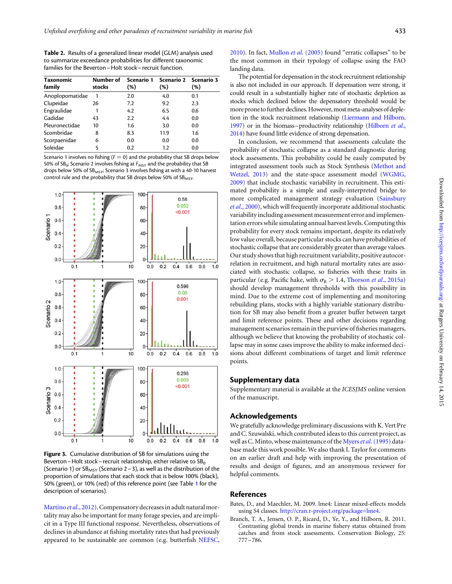<span id="page-5-0"></span>Table 2. Results of a generalized linear model (GLM) analysis used to summarize exceedance probabilities for different taxonomic families for the Beverton–Holt stock– recruit function.

| <b>Taxonomic</b><br>family | Number of<br>stocks | Scenario 1<br>$(\%)$ | Scenario 2 Scenario 3<br>(%) | $(\%)$ |
|----------------------------|---------------------|----------------------|------------------------------|--------|
| Anoplopomatidae            | 1                   | 2.0                  | 4.0                          | 0.1    |
| Clupeidae                  | 26                  | 7.2                  | 9.2                          | 2.3    |
| Engraulidae                | 1                   | 4.2                  | 6.5                          | 0.6    |
| Gadidae                    | 43                  | 2.2                  | 4.4                          | 0.0    |
| Pleuronectidae             | 10                  | 1.6                  | 3.0                          | 0.0    |
| Scombridae                 | 8                   | 8.3                  | 11.9                         | 1.6    |
| Scorpaenidae               | 6                   | 0.0                  | 0.0                          | 0.0    |
| Soleidae                   | 5                   | 0.2                  | 1.2                          | 0.0    |

Scenario 1 involves no fishing ( $F = 0$ ) and the probability that SB drops below 50% of  $SB_0$ ; Scenario 2 involves fishing at  $F_{MSY}$  and the probability that SB drops below 50% of SB<sub>MSY</sub>; Scenario 3 involves fishing at with a 40-10 harvest control rule and the probability that SB drops below 50% of SB<sub>MSY</sub>.



Figure 3. Cumulative distribution of SB for simulations using the Beverton – Holt stock – recruit relationship, either relative to  $SB<sub>0</sub>$ (Scenario 1) or  $SB_{MSY}$  (Scenario 2 – 3), as well as the distribution of the proportion of simulations that each stock that is below 100% (black), 50% (green), or 10% (red) of this reference point (see Table [1](#page-4-0) for the description of scenarios).

[Martino](#page-6-0) et al., 2012). Compensatory decreases in adult natural mortality may also be important for many forage species, and are implicit in a Type III functional response. Nevertheless, observations of declines in abundance at fishing mortality rates that had previously appeared to be sustainable are common (e.g. butterfish [NEFSC,](#page-6-0) [2010](#page-6-0)). In fact, Mullon et al[. \(2005\)](#page-6-0) found "erratic collapses" to be the most common in their typology of collapse using the FAO landing data.

The potential for depensation in the stock recruitment relationship is also not included in our approach. If depensation were strong, it could result in a substantially higher rate of stochastic depletion as stocks which declined below the depensatory threshold would be more prone to further declines. However, most meta-analyses of depletion in the stock recruitment relationship [\(Liermann and Hilborn,](#page-6-0) [1997](#page-6-0)) or in the biomass–productivity relationship [\(Hilborn](#page-6-0) et al., [2014](#page-6-0)) have found little evidence of strong depensation.

In conclusion, we recommend that assessments calculate the probability of stochastic collapse as a standard diagnostic during stock assessments. This probability could be easily computed by integrated assessment tools such as Stock Synthesis [\(Methot and](#page-6-0) [Wetzel, 2013\)](#page-6-0) and the state-space assessment model ([WGMG,](#page-7-0) [2009\)](#page-7-0) that include stochastic variability in recruitment. This estimated probability is a simple and easily-interpreted bridge to more complicated management strategy evaluation [\(Sainsbury](#page-6-0) et al[., 2000](#page-6-0)), which will frequently incorporate additional stochastic variability including assessment measurement error and implementation errors while simulating annual harvest levels. Computing this probability for every stock remains important, despite its relatively low value overall, because particular stocks can have probabilities of stochastic collapse that are considerably greater than average values. Our study shows that high recruitment variability, positive autocorrelation in recruitment, and high natural mortality rates are associated with stochastic collapse, so fisheries with these traits in particular (e.g. Pacific hake, with  $\sigma_R$  > 1.4, [Thorson](#page-6-0) et al., 2015a) should develop management thresholds with this possibility in mind. Due to the extreme cost of implementing and monitoring rebuilding plans, stocks with a highly variable stationary distribution for SB may also benefit from a greater buffer between target and limit reference points. These and other decisions regarding management scenarios remain in the purview of fisheries managers, although we believe that knowing the probability of stochastic collapse may in some cases improve the ability to make informed decisions about different combinations of target and limit reference points.

#### Supplementary data

[Supplementary material is available at the](http://icesjms.oxfordjournals.org/lookup/suppl/doi:10.1093/icesjms/fsu127/-/DC1) ICESJMS online version [of the manuscript.](http://icesjms.oxfordjournals.org/lookup/suppl/doi:10.1093/icesjms/fsu127/-/DC1)

## Acknowledgements

We gratefully acknowledge preliminary discussions with K. Vert Pre and C. Szuwalski, which contributed ideas to this current project, as well as C. Minto, whose maintenance of the Myers et al[. \(1995\)](#page-6-0) database made this work possible. We also thank I. Taylor for comments on an earlier draft and help with improving the presentation of results and design of figures, and an anonymous reviewer for helpful comments.

# References

- Bates, D., and Maechler, M. 2009. lme4: Linear mixed-effects models using S4 classes. [http://cran.r-project.org/package=lme4](http://www.cran.r-project.org/package=lme4).
- Branch, T. A., Jensen, O. P., Ricard, D., Ye, Y., and Hilborn, R. 2011. Contrasting global trends in marine fishery status obtained from catches and from stock assessments. Conservation Biology, 25: 777–786.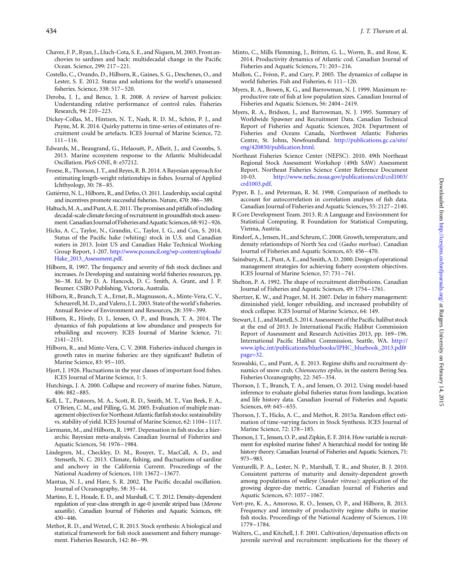- <span id="page-6-0"></span>Chavez, F. P., Ryan, J., Lluch-Cota, S. E., and Ñiquen, M. 2003. From anchovies to sardines and back: multidecadal change in the Pacific Ocean. Science, 299: 217 –221.
- Costello, C., Ovando, D., Hilborn, R., Gaines, S. G., Deschenes, O., and Lester, S. E. 2012. Status and solutions for the world's unassessed fisheries. Science, 338: 517–520.
- Deroba, J. J., and Bence, J. R. 2008. A review of harvest policies: Understanding relative performance of control rules. Fisheries Research, 94: 210–223.
- Dickey-Collas, M., Hintzen, N. T., Nash, R. D. M., Schön, P. J., and Payne, M. R. 2014. Quirky patterns in time-series of estimates of recruitment could be artefacts. ICES Journal of Marine Science, 72: 111–116.
- Edwards, M., Beaugrand, G., Helaouët, P., Alheit, J., and Coombs, S. 2013. Marine ecosystem response to the Atlantic Multidecadal Oscillation. PloS ONE, 8: e57212.
- Froese, R., Thorson, J. T., and Reyes, R. B. 2014. A Bayesian approach for estimating length-weight relationships in fishes. Journal of Applied Ichthyology, 30: 78–85.
- Gutiérrez, N. L., Hilborn, R., and Defeo, O. 2011. Leadership, social capital and incentives promote successful fisheries. Nature, 470: 386–389.
- Haltuch, M. A., and Punt, A. E. 2011. The promises and pitfalls of including decadal-scale climate forcing of recruitment in groundfish stock assessment. Canadian Journal of Fisheries and Aquatic Sciences, 68: 912-926.
- Hicks, A. C., Taylor, N., Grandin, C., Taylor, I. G., and Cox, S. 2014. Status of the Pacific hake (whiting) stock in U.S. and Canadian waters in 2013. Joint US and Canadian Hake Technical Working Group Report, 1-207. [http://www.pcouncil.org/wp-content/uploads/](http://www.pcouncil.org/wp-content/uploads/Hake_2013_Assessment.pdf) Hake 2013 Assessment.pdf.
- Hilborn, R. 1997. The frequency and severity of fish stock declines and increases. In Developing and sustaining world fisheries resources, pp. 36–38. Ed. by D. A. Hancock, D. C. Smith, A. Grant, and J. P. Beumer. CSIRO Publishing, Victoria, Australia.
- Hilborn, R., Branch, T. A., Ernst, B., Magnusson, A., Minte-Vera, C. V., Scheuerell, M. D., and Valero, J. L. 2003. State of theworld's fisheries. Annual Review of Environment and Resources, 28: 359 –399.
- Hilborn, R., Hively, D. J., Jensen, O. P., and Branch, T. A. 2014. The dynamics of fish populations at low abundance and prospects for rebuilding and recovery. ICES Journal of Marine Science, 71: 2141–2151.
- Hilborn, R., and Minte-Vera, C. V. 2008. Fisheries-induced changes in growth rates in marine fisheries: are they significant? Bulletin of Marine Science, 83: 95 –105.
- Hjort, J. 1926. Fluctuations in the year classes of important food fishes. ICES Journal of Marine Science, 1: 5.
- Hutchings, J. A. 2000. Collapse and recovery of marine fishes. Nature, 406: 882–885.
- Kell, L. T., Pastoors, M. A., Scott, R. D., Smith, M. T., Van Beek, F. A., O'Brien, C. M., and Pilling, G. M. 2005. Evaluation of multiple management objectives for Northeast Atlantic flatfish stocks: sustainability vs. stability of yield. ICES Journal of Marine Science, 62: 1104–1117.
- Liermann, M., and Hilborn, R. 1997. Depensation in fish stocks: a hierarchic Bayesian meta-analysis. Canadian Journal of Fisheries and Aquatic Sciences, 54: 1976 –1984.
- Lindegren, M., Checkley, D. M., Rouyer, T., MacCall, A. D., and Stenseth, N. C. 2013. Climate, fishing, and fluctuations of sardine and anchovy in the California Current. Proceedings of the National Academy of Sciences, 110: 13672–13677.
- Mantua, N. J., and Hare, S. R. 2002. The Pacific decadal oscillation. Journal of Oceanography, 58: 35 –44.
- Martino, E. J., Houde, E. D., and Marshall, C. T. 2012. Density-dependent regulation of year-class strength in age-0 juvenile striped bass (Morone saxatilis). Canadian Journal of Fisheries and Aquatic Sciences, 69: 430–446.
- Methot, R. D., and Wetzel, C. R. 2013. Stock synthesis: A biological and statistical framework for fish stock assessment and fishery management. Fisheries Research, 142: 86 –99.
- Minto, C., Mills Flemming, J., Britten, G. L., Worm, B., and Rose, K. 2014. Productivity dynamics of Atlantic cod. Canadian Journal of Fisheries and Aquatic Sciences, 71: 203–216.
- Mullon, C., Fréon, P., and Cury, P. 2005. The dynamics of collapse in world fisheries. Fish and Fisheries, 6: 111–120.
- Myers, R. A., Bowen, K. G., and Barrowman, N. J. 1999. Maximum reproductive rate of fish at low population sizes. Canadian Journal of Fisheries and Aquatic Sciences, 56: 2404–2419.
- Myers, R. A., Bridson, J., and Barrowman, N. J. 1995. Summary of Worldwide Spawner and Recruitment Data. Canadian Technical Report of Fisheries and Aquatic Sciences, 2024. Department of Fisheries and Oceans Canada, Northwest Atlantic Fisheries Centre, St. Johns, Newfoundland. [http://publications.gc.ca/site/](http://www.publications.gc.ca/site/eng/420850/publication.html) [eng/420850/publication.html](http://www.publications.gc.ca/site/eng/420850/publication.html).
- Northeast Fisheries Science Center (NEFSC). 2010. 49th Northeast Regional Stock Assessment Workshop (49th SAW) Assessment Report. Northeast Fisheries Science Center Reference Document 10-03. http://www.nefsc.noaa.gov/publications/crd/crd1003/ 10-03. [http://www.nefsc.noaa.gov/publications/crd/crd1003/](http://www.nefsc.noaa.gov/publications/crd/crd1003/crd1003.pdf) [crd1003.pdf.](http://www.nefsc.noaa.gov/publications/crd/crd1003/crd1003.pdf)
- Pyper, B. J., and Peterman, R. M. 1998. Comparison of methods to account for autocorrelation in correlation analyses of fish data. Canadian Journal of Fisheries and Aquatic Sciences, 55: 2127–2140.
- R Core Development Team. 2013. R: A Language and Environment for Statistical Computing. R Foundation for Statistical Computing, Vienna, Austria.
- Rindorf,A., Jensen, H., and Schrum, C. 2008. Growth, temperature, and density relationships of North Sea cod (Gadus morhua). Canadian Journal of Fisheries and Aquatic Sciences, 65: 456 –470.
- Sainsbury,K. J., Punt, A. E., and Smith, A. D. 2000. Design of operational management strategies for achieving fishery ecosystem objectives. ICES Journal of Marine Science, 57: 731 –741.
- Shelton, P. A. 1992. The shape of recruitment distributions. Canadian Journal of Fisheries and Aquatic Sciences, 49: 1754 –1761.
- Shertzer, K. W., and Prager, M. H. 2007. Delay in fishery management: diminished yield, longer rebuilding, and increased probability of stock collapse. ICES Journal of Marine Science, 64: 149.
- Stewart, I. J., and Martell, S. 2014. Assessment of the Pacific halibut stock at the end of 2013. In International Pacific Halibut Commission Report of Assessment and Research Activities 2013, pp. 169–196. International Pacific Halibut Commission, Seattle, WA. [http://](http://www.iphc.int/publications/bluebooks/IPHC_bluebook_2013.pdf#page=32) [www.iphc.int/publications/bluebooks/IPHC\\_bluebook\\_2013.pdf#](http://www.iphc.int/publications/bluebooks/IPHC_bluebook_2013.pdf#page=32) [page=32](http://www.iphc.int/publications/bluebooks/IPHC_bluebook_2013.pdf#page=32).
- Szuwalski, C., and Punt, A. E. 2013. Regime shifts and recruitment dynamics of snow crab, Chionoecetes opilio, in the eastern Bering Sea. Fisheries Oceanography, 22: 345–354.
- Thorson, J. T., Branch, T. A., and Jensen, O. 2012. Using model-based inference to evaluate global fisheries status from landings, location and life history data. Canadian Journal of Fisheries and Aquatic Sciences, 69: 645–655.
- Thorson, J. T., Hicks, A. C., and Methot, R. 2015a. Random effect estimation of time-varying factors in Stock Synthesis. ICES Journal of Marine Science, 72: 178–185.
- Thorson, J. T., Jensen, O. P., and Zipkin, E. F. 2014. How variable is recruitment for exploited marine fishes? A hierarchical model for testing life history theory. Canadian Journal of Fisheries and Aquatic Sciences, 71: 973–983.
- Venturelli, P. A., Lester, N. P., Marshall, T. R., and Shuter, B. J. 2010. Consistent patterns of maturity and density-dependent growth among populations of walleye (Sander vitreus): application of the growing degree-day metric. Canadian Journal of Fisheries and Aquatic Sciences, 67: 1057–1067.
- Vert-pre, K. A., Amoroso, R. O., Jensen, O. P., and Hilborn, R. 2013. Frequency and intensity of productivity regime shifts in marine fish stocks. Proceedings of the National Academy of Sciences, 110: 1779–1784.
- Walters, C., and Kitchell, J. F. 2001. Cultivation/depensation effects on juvenile survival and recruitment: implications for the theory of